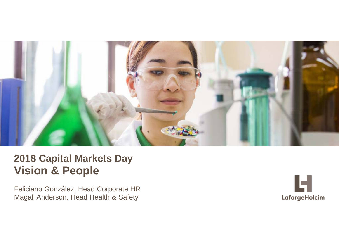

# **2018 Capital Markets Day Vision & People**

Magali Anderson, Head Health & Safety Feliciano González, Head Corporate HR

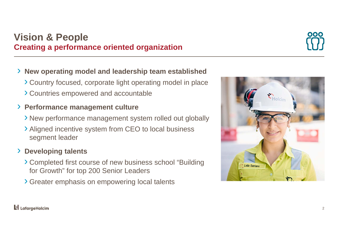#### $\mathbf{F}$  Lafarge Holcim

# **Vision & People Creating a performance oriented organization**

#### ›**New operating model and leadership team established**

- › Country focused, corporate light operating model in place
- › Countries empowered and accountable

#### › **Performance management culture**

- › New performance management system rolled out globally
- › Aligned incentive system from CEO to local business segment leader

#### ›**Developing talents**

- › Completed first course of new business school "Building for Growth" for top 200 Senior Leaders
- › Greater emphasis on empowering local talents



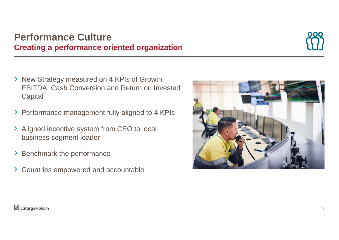### **Performance CultureCreating a performance oriented organization**



- › New Strategy measured on 4 KPIs of Growth, EBITDA, Cash Conversion and Return on Invested **Capital**
- › Performance management fully aligned to 4 KPIs
- › Aligned incentive system from CEO to local business segment leader
- ›Benchmark the performance
- › Countries empowered and accountable

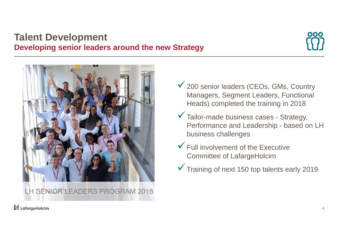### **Talent Development Developing senior leaders around the new Strategy**





- ◆ 200 senior leaders (CEOs, GMs, Country Managers, Segment Leaders, Functional Heads) completed the training in 2018
- Tailor-made business cases Strategy, Performance and Leadership - based on LH business challenges
- $\checkmark$  Full involvement of the Executive Committee of LafargeHolcim
- Training of next 150 top talents early 2019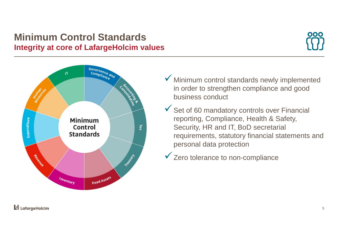## **Minimum Control Standards Integrity at core of LafargeHolcim values**





- Minimum control standards newly implemented in order to strengthen compliance and good business conduct
- $\checkmark$  Set of 60 mandatory controls over Financial reporting, Compliance, Health & Safety, Security, HR and IT, BoD secretarial requirements, statutory financial statements and personal data protection
- $\checkmark$  Zero tolerance to non-compliance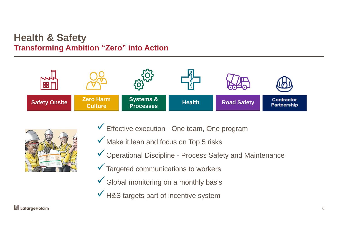#### **Health & Safety Transforming Ambition "Zero" into Action**





- Effective execution One team, One program
- Make it lean and focus on Top 5 risks
- Operational Discipline Process Safety and Maintenance
- $\checkmark$  Targeted communications to workers
- $\checkmark$  Global monitoring on a monthly basis
- $\checkmark$  H&S targets part of incentive system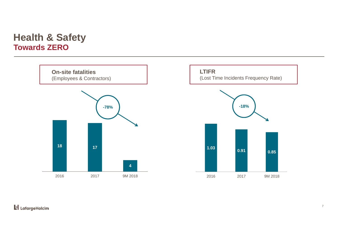### **Health & Safety Towards ZERO**





#### **Li** LafargeHolcim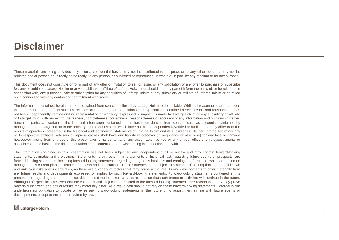# **Disclaimer**

These materials are being provided to you on <sup>a</sup> confidential basis, may not be distributed to the press or to any other persons, may not be redistributed or passed on, directly or indirectly, to any person, or published or reproduced, in whole or in part, by any medium or for any purpose.

This document does not constitute or form part of any offer or invitation to sell or issue, or any solicitation of any offer to purchase or subscribe for, any securities of LafargeHolcim or any subsidiary or affiliate of LafargeHolcim nor should it or any part of it form the basis of, or be relied on in connection with, any purchase, sale or subscription for any securities of LafargeHolcim or any subsidiary or affiliate of LafargeHolcim or be relied on in connection with any contract or commitment whatsoever.

The information contained herein has been obtained from sources believed by LafargeHolcim to be reliable. Whilst all reasonable care has been taken to ensure that the facts stated herein are accurate and that the opinions and expectations contained herein are fair and reasonable, it has not been independently verified and no representation or warranty, expressed or implied, is made by LafargeHolcim or any subsidiary or affiliate of LafargeHolcim with respect to the fairness, completeness, correctness, reasonableness or accuracy of any information and opinions contained herein. In particular, certain of the financial information contained herein has been derived from sources such as accounts maintained by management of LafargeHolcim in the ordinary course of business, which have not been independently verified or audited and may differ from the results of operations presented in the historical audited financial statements of LafargeHolcim and its subsidiaries. Neither LafargeHolcim nor any of its respective affiliates, advisers or representatives shall have any liability whatsoever (in negligence or otherwise) for any loss or damage howsoever arising from any use of this presentation or its contents, or any action taken by you or any of your officers, employees, agents or associates on the basis of the this presentation or its contents or otherwise arising in connection therewith.

The information contained in this presentation has not been subject to any independent audit or review and may contain forward-looking statements, estimates and projections. Statements herein, other than statements of historical fact, regarding future events or prospects, are forward-looking statements, including forward-looking statements regarding the group's business and earnings performance, which are based on management's current plans, estimates, forecasts and expectations. These statements are subject to <sup>a</sup> number of assumptions and entail known and unknown risks and uncertainties, as there are <sup>a</sup> variety of factors that may cause actual results and developments to differ materially from any future results and developments expressed or implied by such forward-looking statements. Forward-looking statements contained in this presentation regarding past trends or activities should not be taken as <sup>a</sup> representation that such trends or activities will continue in the future. Although LafargeHolcim believes that the estimates and projections reflected in the forward-looking statements are reasonable, they may prove materially incorrect, and actual results may materially differ. As <sup>a</sup> result, you should not rely on these forward-looking statements. LafargeHolcim undertakes no obligation to update or revise any forward-looking statements in the future or to adjust them in line with future events or developments, except to the extent required by law.

#### **L** LafargeHolcim